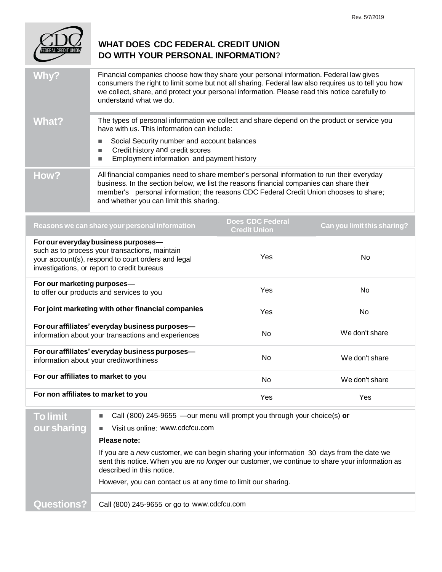

## **WHAT DOES CDC FEDERAL CREDIT UNION DO WITH YOUR PERSONAL INFORMATION?**

| Why?  | Financial companies choose how they share your personal information. Federal law gives<br>consumers the right to limit some but not all sharing. Federal law also requires us to tell you how<br>we collect, share, and protect your personal information. Please read this notice carefully to<br>understand what we do. |  |
|-------|---------------------------------------------------------------------------------------------------------------------------------------------------------------------------------------------------------------------------------------------------------------------------------------------------------------------------|--|
| What? | The types of personal information we collect and share depend on the product or service you<br>have with us. This information can include:                                                                                                                                                                                |  |
|       | Social Security number and account balances<br>Credit history and credit scores<br>Employment information and payment history<br>■                                                                                                                                                                                        |  |
| How?  | All financial companies need to share member's personal information to run their everyday<br>business. In the section below, we list the reasons financial companies can share their<br>member's personal information; the reasons CDC Federal Credit Union chooses to share;<br>and whether you can limit this sharing.  |  |

| Reasons we can share your personal information                                                                                                                                             | <b>Does CDC Federal</b><br><b>Credit Union</b> | Can you limit this sharing? |
|--------------------------------------------------------------------------------------------------------------------------------------------------------------------------------------------|------------------------------------------------|-----------------------------|
| For our everyday business purposes—<br>such as to process your transactions, maintain<br>your account(s), respond to court orders and legal<br>investigations, or report to credit bureaus | Yes                                            | No.                         |
| For our marketing purposes-<br>to offer our products and services to you                                                                                                                   | Yes                                            | No.                         |
| For joint marketing with other financial companies                                                                                                                                         | <b>Yes</b>                                     | No.                         |
| For our affiliates' everyday business purposes-<br>information about your transactions and experiences                                                                                     | No.                                            | We don't share              |
| For our affiliates' everyday business purposes-<br>information about your creditworthiness                                                                                                 | <b>No</b>                                      | We don't share              |
| For our affiliates to market to you                                                                                                                                                        | <b>No</b>                                      | We don't share              |
| For non affiliates to market to you                                                                                                                                                        | Yes                                            | Yes                         |

| <b>To limit</b>   | Call (800) 245-9655 —our menu will prompt you through your choice(s) or<br>$\mathcal{L}_{\mathcal{A}}$                                                                                                                    |  |
|-------------------|---------------------------------------------------------------------------------------------------------------------------------------------------------------------------------------------------------------------------|--|
| our sharing       | Visit us online: www.cdcfcu.com<br>$\blacksquare$                                                                                                                                                                         |  |
|                   | Please note:                                                                                                                                                                                                              |  |
|                   | If you are a new customer, we can begin sharing your information 30 days from the date we<br>sent this notice. When you are no longer our customer, we continue to share your information as<br>described in this notice. |  |
|                   | However, you can contact us at any time to limit our sharing.                                                                                                                                                             |  |
|                   |                                                                                                                                                                                                                           |  |
| <b>Questions?</b> | Call (800) 245-9655 or go to www.cdcfcu.com                                                                                                                                                                               |  |